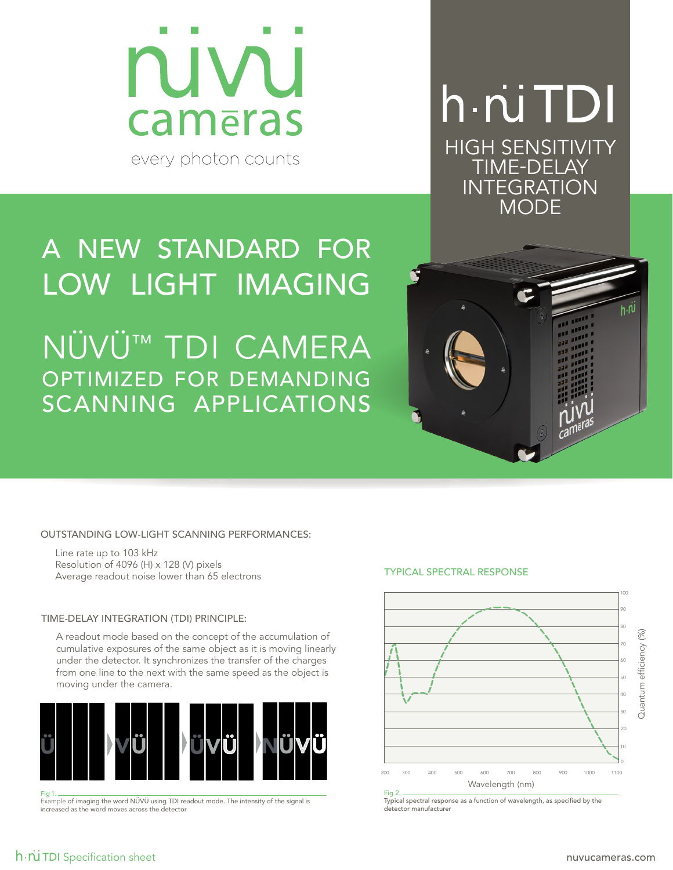

## h *n*i TDI HIGH SENSITIVITY TIME-DELAY INTEGRATION MODE

## A NEW STANDARD FOR LOW LIGHT IMAGING nüvü™ tdi camera optimized for demanding scanning applications

OUTSTANDING LOW-LIGHT SCANNING PERFORMANCES:

Line rate up to 103 kHz Resolution of 4096 (H) x 128 (V) pixels Average readout noise lower than 65 electrons

### TIME-DELAY INTEGRATION (TDI) PRINCIPLE:

A readout mode based on the concept of the accumulation of cumulative exposures of the same object as it is moving linearly under the detector. It synchronizes the transfer of the charges from one line to the next with the same speed as the object is moving under the camera.



Fig 1. Example of imaging the word NÜVÜ using TDI readout mode. The intensity of the signal is increased as the word moves across the detector

### TYPICAL SPECTRAL RESPONSE



Typical spectral response as a function of wavelength, as specified by the detector manufacturer